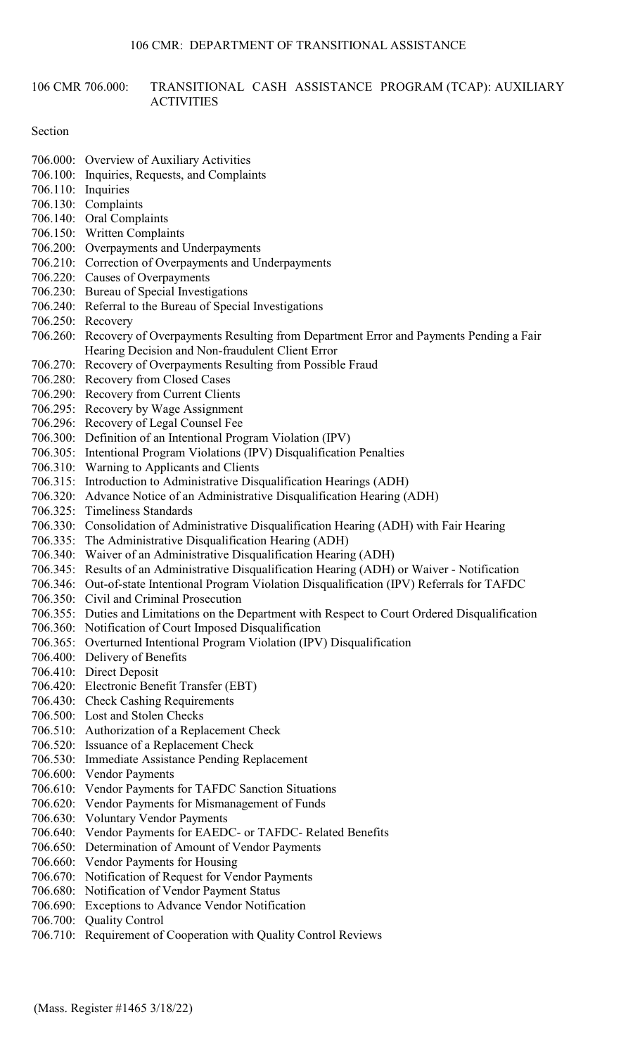### 106 CMR 706.000: TRANSITIONAL CASH ASSISTANCE PROGRAM (TCAP): AUXILIARY ACTIVITIES

#### Section

- 706.000: Overview of Auxiliary Activities
- 706.100: Inquiries, Requests, and Complaints
- 706.110: Inquiries
- 706.130: Complaints
- 706.140: Oral Complaints
- 706.150: Written Complaints
- 706.200: Overpayments and Underpayments
- 706.210: Correction of Overpayments and Underpayments
- 706.220: Causes of Overpayments
- 706.230: Bureau of Special Investigations
- 706.240: Referral to the Bureau of Special Investigations
- 706.250: Recovery
- 706.260: Recovery of Overpayments Resulting from Department Error and Payments Pending a Fair Hearing Decision and Non-fraudulent Client Error
- 706.270: Recovery of Overpayments Resulting from Possible Fraud
- 706.280: Recovery from Closed Cases
- 706.290: Recovery from Current Clients
- 706.295: Recovery by Wage Assignment
- 706.296: Recovery of Legal Counsel Fee
- 706.300: Definition of an Intentional Program Violation (IPV)
- 706.305: Intentional Program Violations (IPV) Disqualification Penalties
- 706.310: Warning to Applicants and Clients
- 706.315: Introduction to Administrative Disqualification Hearings (ADH)
- 706.320: Advance Notice of an Administrative Disqualification Hearing (ADH)
- 706.325: Timeliness Standards
- 706.330: Consolidation of Administrative Disqualification Hearing (ADH) with Fair Hearing
- 706.335: The Administrative Disqualification Hearing (ADH)
- 706.340: Waiver of an Administrative Disqualification Hearing (ADH)
- 706.345: Results of an Administrative Disqualification Hearing (ADH) or Waiver Notification
- 706.346: Out-of-state Intentional Program Violation Disqualification (IPV) Referrals for TAFDC
- 706.350: Civil and Criminal Prosecution
- 706.355: Duties and Limitations on the Department with Respect to Court Ordered Disqualification
- 706.360: Notification of Court Imposed Disqualification
- 706.365: Overturned Intentional Program Violation (IPV) Disqualification
- 706.400: Delivery of Benefits
- 706.410: Direct Deposit
- 706.420: Electronic Benefit Transfer (EBT)
- 706.430: Check Cashing Requirements
- 706.500: Lost and Stolen Checks
- 706.510: Authorization of a Replacement Check
- 706.520: Issuance of a Replacement Check
- 706.530: Immediate Assistance Pending Replacement
- 706.600: Vendor Payments
- 706.610: Vendor Payments for TAFDC Sanction Situations
- 706.620: Vendor Payments for Mismanagement of Funds
- 706.630: Voluntary Vendor Payments
- 706.640: Vendor Payments for EAEDC- or TAFDC- Related Benefits
- 706.650: Determination of Amount of Vendor Payments
- 706.660: Vendor Payments for Housing
- 706.670: Notification of Request for Vendor Payments
- 706.680: Notification of Vendor Payment Status
- 706.690: Exceptions to Advance Vendor Notification
- 706.700: Quality Control
- 706.710: Requirement of Cooperation with Quality Control Reviews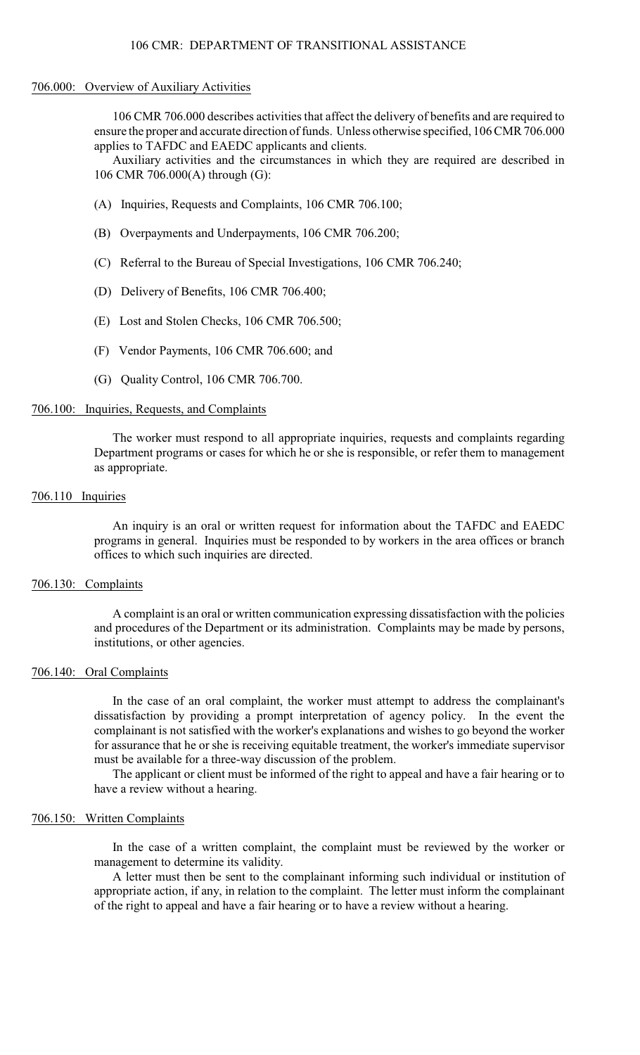#### 706.000: Overview of Auxiliary Activities

106 CMR 706.000 describes activities that affect the delivery of benefits and are required to ensure the proper and accurate direction of funds. Unless otherwise specified, 106 CMR 706.000 applies to TAFDC and EAEDC applicants and clients.

Auxiliary activities and the circumstances in which they are required are described in 106 CMR 706.000(A) through (G):

- (A) Inquiries, Requests and Complaints, 106 CMR 706.100;
- (B) Overpayments and Underpayments, 106 CMR 706.200;
- (C) Referral to the Bureau of Special Investigations, 106 CMR 706.240;
- (D) Delivery of Benefits, 106 CMR 706.400;
- (E) Lost and Stolen Checks, 106 CMR 706.500;
- (F) Vendor Payments, 106 CMR 706.600; and
- (G) Quality Control, 106 CMR 706.700.

# 706.100: Inquiries, Requests, and Complaints

The worker must respond to all appropriate inquiries, requests and complaints regarding Department programs or cases for which he or she is responsible, or refer them to management as appropriate.

#### 706.110 Inquiries

An inquiry is an oral or written request for information about the TAFDC and EAEDC programs in general. Inquiries must be responded to by workers in the area offices or branch offices to which such inquiries are directed.

#### 706.130: Complaints

A complaint is an oral or written communication expressing dissatisfaction with the policies and procedures of the Department or its administration. Complaints may be made by persons, institutions, or other agencies.

#### 706.140: Oral Complaints

In the case of an oral complaint, the worker must attempt to address the complainant's dissatisfaction by providing a prompt interpretation of agency policy. In the event the complainant is not satisfied with the worker's explanations and wishes to go beyond the worker for assurance that he or she is receiving equitable treatment, the worker's immediate supervisor must be available for a three-way discussion of the problem.

The applicant or client must be informed of the right to appeal and have a fair hearing or to have a review without a hearing.

#### 706.150: Written Complaints

In the case of a written complaint, the complaint must be reviewed by the worker or management to determine its validity.

A letter must then be sent to the complainant informing such individual or institution of appropriate action, if any, in relation to the complaint. The letter must inform the complainant of the right to appeal and have a fair hearing or to have a review without a hearing.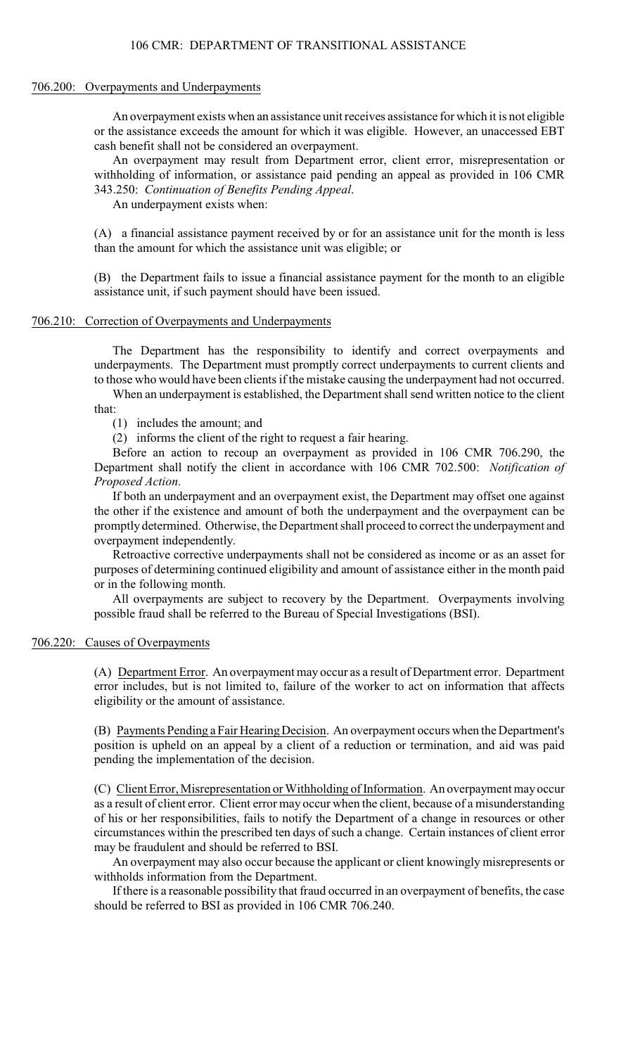#### 706.200: Overpayments and Underpayments

An overpayment exists when an assistance unit receives assistance for which it is not eligible or the assistance exceeds the amount for which it was eligible. However, an unaccessed EBT cash benefit shall not be considered an overpayment.

An overpayment may result from Department error, client error, misrepresentation or withholding of information, or assistance paid pending an appeal as provided in 106 CMR 343.250: *Continuation of Benefits Pending Appeal*.

An underpayment exists when:

(A) a financial assistance payment received by or for an assistance unit for the month is less than the amount for which the assistance unit was eligible; or

(B) the Department fails to issue a financial assistance payment for the month to an eligible assistance unit, if such payment should have been issued.

### 706.210: Correction of Overpayments and Underpayments

The Department has the responsibility to identify and correct overpayments and underpayments. The Department must promptly correct underpayments to current clients and to those who would have been clients if the mistake causing the underpayment had not occurred.

When an underpayment is established, the Department shall send written notice to the client that:

(1) includes the amount; and

(2) informs the client of the right to request a fair hearing.

Before an action to recoup an overpayment as provided in 106 CMR 706.290, the Department shall notify the client in accordance with 106 CMR 702.500: *Notification of Proposed Action*.

If both an underpayment and an overpayment exist, the Department may offset one against the other if the existence and amount of both the underpayment and the overpayment can be promptly determined. Otherwise, the Department shall proceed to correct the underpayment and overpayment independently.

Retroactive corrective underpayments shall not be considered as income or as an asset for purposes of determining continued eligibility and amount of assistance either in the month paid or in the following month.

All overpayments are subject to recovery by the Department. Overpayments involving possible fraud shall be referred to the Bureau of Special Investigations (BSI).

## 706.220: Causes of Overpayments

(A) Department Error. An overpayment may occur as a result of Department error. Department error includes, but is not limited to, failure of the worker to act on information that affects eligibility or the amount of assistance.

(B) Payments Pending a Fair Hearing Decision. An overpayment occurs when the Department's position is upheld on an appeal by a client of a reduction or termination, and aid was paid pending the implementation of the decision.

(C) Client Error, Misrepresentation or Withholding of Information. An overpayment may occur as a result of client error. Client error may occur when the client, because of a misunderstanding of his or her responsibilities, fails to notify the Department of a change in resources or other circumstances within the prescribed ten days of such a change. Certain instances of client error may be fraudulent and should be referred to BSI.

An overpayment may also occur because the applicant or client knowingly misrepresents or withholds information from the Department.

If there is a reasonable possibility that fraud occurred in an overpayment of benefits, the case should be referred to BSI as provided in 106 CMR 706.240.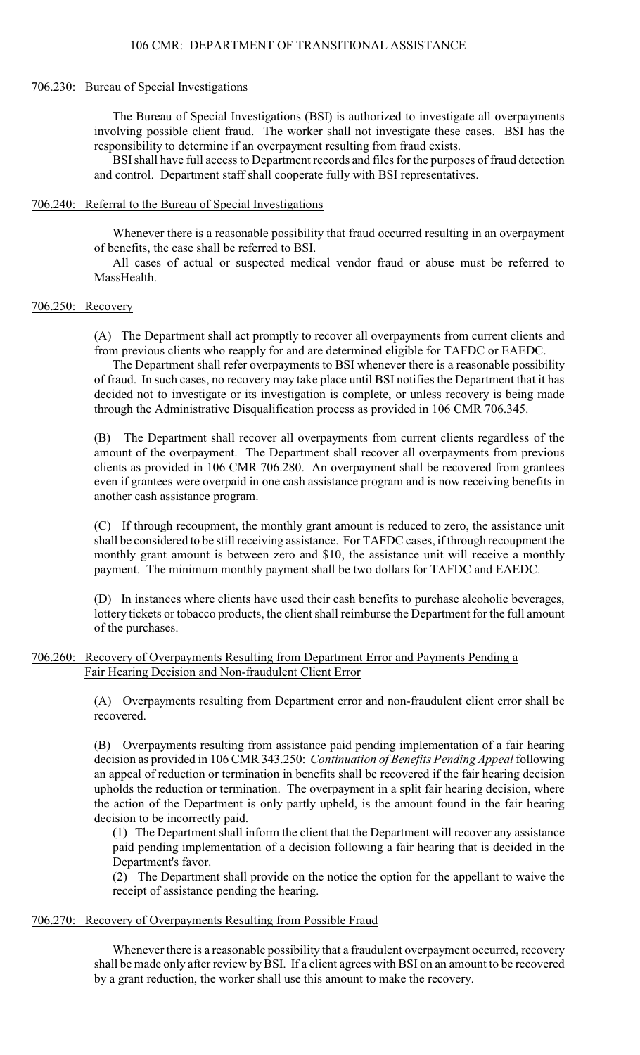#### 706.230: Bureau of Special Investigations

The Bureau of Special Investigations (BSI) is authorized to investigate all overpayments involving possible client fraud. The worker shall not investigate these cases. BSI has the responsibility to determine if an overpayment resulting from fraud exists.

BSI shall have full access to Department records and files for the purposes of fraud detection and control. Department staff shall cooperate fully with BSI representatives.

#### 706.240: Referral to the Bureau of Special Investigations

Whenever there is a reasonable possibility that fraud occurred resulting in an overpayment of benefits, the case shall be referred to BSI.

All cases of actual or suspected medical vendor fraud or abuse must be referred to MassHealth.

### 706.250: Recovery

(A) The Department shall act promptly to recover all overpayments from current clients and from previous clients who reapply for and are determined eligible for TAFDC or EAEDC.

The Department shall refer overpayments to BSI whenever there is a reasonable possibility of fraud. In such cases, no recovery may take place until BSI notifies the Department that it has decided not to investigate or its investigation is complete, or unless recovery is being made through the Administrative Disqualification process as provided in 106 CMR 706.345.

(B) The Department shall recover all overpayments from current clients regardless of the amount of the overpayment. The Department shall recover all overpayments from previous clients as provided in 106 CMR 706.280. An overpayment shall be recovered from grantees even if grantees were overpaid in one cash assistance program and is now receiving benefits in another cash assistance program.

(C) If through recoupment, the monthly grant amount is reduced to zero, the assistance unit shall be considered to be still receiving assistance. For TAFDC cases, if through recoupment the monthly grant amount is between zero and \$10, the assistance unit will receive a monthly payment. The minimum monthly payment shall be two dollars for TAFDC and EAEDC.

(D) In instances where clients have used their cash benefits to purchase alcoholic beverages, lottery tickets or tobacco products, the client shall reimburse the Department for the full amount of the purchases.

# 706.260: Recovery of Overpayments Resulting from Department Error and Payments Pending a Fair Hearing Decision and Non-fraudulent Client Error

(A) Overpayments resulting from Department error and non-fraudulent client error shall be recovered.

(B) Overpayments resulting from assistance paid pending implementation of a fair hearing decision as provided in 106 CMR 343.250: *Continuation of Benefits Pending Appeal* following an appeal of reduction or termination in benefits shall be recovered if the fair hearing decision upholds the reduction or termination. The overpayment in a split fair hearing decision, where the action of the Department is only partly upheld, is the amount found in the fair hearing decision to be incorrectly paid.

(1) The Department shall inform the client that the Department will recover any assistance paid pending implementation of a decision following a fair hearing that is decided in the Department's favor.

(2) The Department shall provide on the notice the option for the appellant to waive the receipt of assistance pending the hearing.

#### 706.270: Recovery of Overpayments Resulting from Possible Fraud

Whenever there is a reasonable possibility that a fraudulent overpayment occurred, recovery shall be made only after review by BSI. If a client agrees with BSI on an amount to be recovered by a grant reduction, the worker shall use this amount to make the recovery.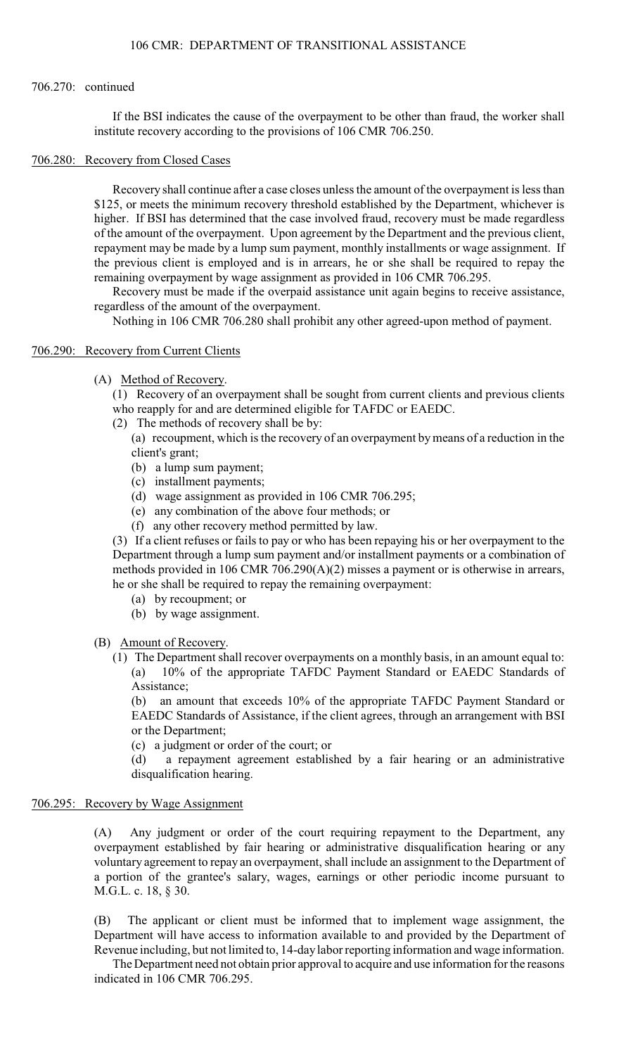### 706.270: continued

If the BSI indicates the cause of the overpayment to be other than fraud, the worker shall institute recovery according to the provisions of 106 CMR 706.250.

#### 706.280: Recovery from Closed Cases

Recovery shall continue after a case closes unless the amount of the overpayment is less than \$125, or meets the minimum recovery threshold established by the Department, whichever is higher. If BSI has determined that the case involved fraud, recovery must be made regardless of the amount of the overpayment. Upon agreement by the Department and the previous client, repayment may be made by a lump sum payment, monthly installments or wage assignment. If the previous client is employed and is in arrears, he or she shall be required to repay the remaining overpayment by wage assignment as provided in 106 CMR 706.295.

Recovery must be made if the overpaid assistance unit again begins to receive assistance, regardless of the amount of the overpayment.

Nothing in 106 CMR 706.280 shall prohibit any other agreed-upon method of payment.

# 706.290: Recovery from Current Clients

(A) Method of Recovery.

(1) Recovery of an overpayment shall be sought from current clients and previous clients who reapply for and are determined eligible for TAFDC or EAEDC.

(2) The methods of recovery shall be by:

(a) recoupment, which is the recovery of an overpayment bymeans of a reduction in the client's grant;

- (b) a lump sum payment;
- (c) installment payments;
- (d) wage assignment as provided in 106 CMR 706.295;
- (e) any combination of the above four methods; or
- (f) any other recovery method permitted by law.

(3) If a client refuses or fails to pay or who has been repaying his or her overpayment to the Department through a lump sum payment and/or installment payments or a combination of methods provided in 106 CMR 706.290(A)(2) misses a payment or is otherwise in arrears, he or she shall be required to repay the remaining overpayment:

- (a) by recoupment; or
- (b) by wage assignment.

(B) Amount of Recovery.

(1) The Department shall recover overpayments on a monthly basis, in an amount equal to: (a) 10% of the appropriate TAFDC Payment Standard or EAEDC Standards of Assistance;

(b) an amount that exceeds 10% of the appropriate TAFDC Payment Standard or EAEDC Standards of Assistance, if the client agrees, through an arrangement with BSI or the Department;

(c) a judgment or order of the court; or

(d) a repayment agreement established by a fair hearing or an administrative disqualification hearing.

# 706.295: Recovery by Wage Assignment

(A) Any judgment or order of the court requiring repayment to the Department, any overpayment established by fair hearing or administrative disqualification hearing or any voluntary agreement to repay an overpayment, shall include an assignment to the Department of a portion of the grantee's salary, wages, earnings or other periodic income pursuant to M.G.L. c. 18, § 30.

(B) The applicant or client must be informed that to implement wage assignment, the Department will have access to information available to and provided by the Department of Revenue including, but not limited to, 14-day labor reporting information and wage information.

The Department need not obtain prior approval to acquire and use information for the reasons indicated in 106 CMR 706.295.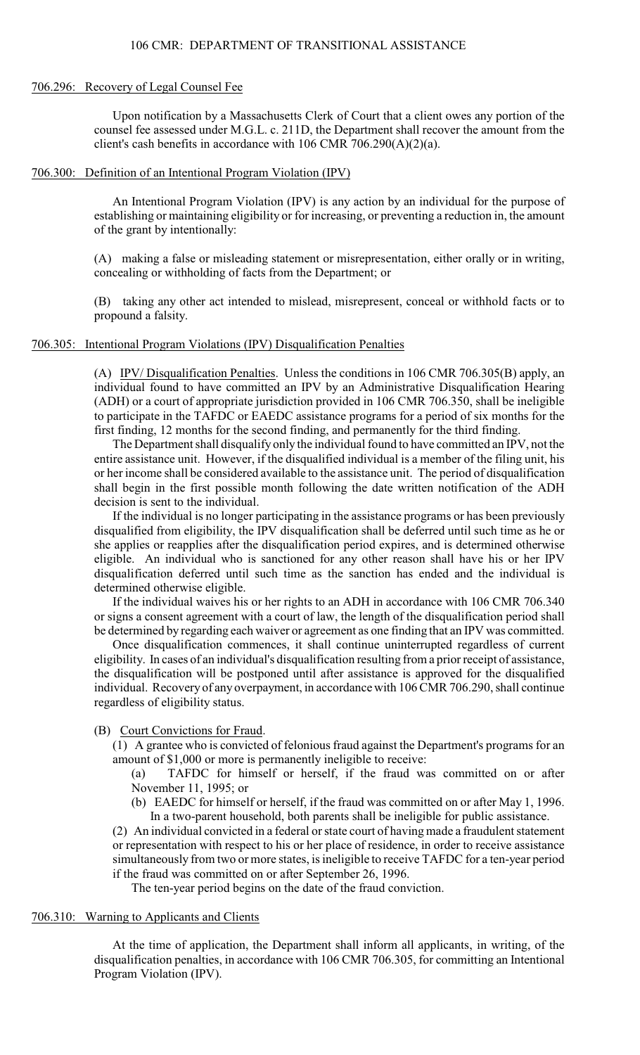#### 706.296: Recovery of Legal Counsel Fee

Upon notification by a Massachusetts Clerk of Court that a client owes any portion of the counsel fee assessed under M.G.L. c. 211D, the Department shall recover the amount from the client's cash benefits in accordance with 106 CMR 706.290(A)(2)(a).

#### 706.300: Definition of an Intentional Program Violation (IPV)

An Intentional Program Violation (IPV) is any action by an individual for the purpose of establishing or maintaining eligibility or for increasing, or preventing a reduction in, the amount of the grant by intentionally:

(A) making a false or misleading statement or misrepresentation, either orally or in writing, concealing or withholding of facts from the Department; or

(B) taking any other act intended to mislead, misrepresent, conceal or withhold facts or to propound a falsity.

### 706.305: Intentional Program Violations (IPV) Disqualification Penalties

(A) IPV/ Disqualification Penalties. Unless the conditions in 106 CMR 706.305(B) apply, an individual found to have committed an IPV by an Administrative Disqualification Hearing (ADH) or a court of appropriate jurisdiction provided in 106 CMR 706.350, shall be ineligible to participate in the TAFDC or EAEDC assistance programs for a period of six months for the first finding, 12 months for the second finding, and permanently for the third finding.

The Department shall disqualify only the individual found to have committed an IPV, not the entire assistance unit. However, if the disqualified individual is a member of the filing unit, his or her income shall be considered available to the assistance unit. The period of disqualification shall begin in the first possible month following the date written notification of the ADH decision is sent to the individual.

If the individual is no longer participating in the assistance programs or has been previously disqualified from eligibility, the IPV disqualification shall be deferred until such time as he or she applies or reapplies after the disqualification period expires, and is determined otherwise eligible. An individual who is sanctioned for any other reason shall have his or her IPV disqualification deferred until such time as the sanction has ended and the individual is determined otherwise eligible.

If the individual waives his or her rights to an ADH in accordance with 106 CMR 706.340 or signs a consent agreement with a court of law, the length of the disqualification period shall be determined by regarding each waiver or agreement as one finding that an IPV was committed.

Once disqualification commences, it shall continue uninterrupted regardless of current eligibility. In cases of an individual's disqualification resulting from a prior receipt of assistance, the disqualification will be postponed until after assistance is approved for the disqualified individual. Recovery of any overpayment, in accordance with 106 CMR 706.290, shall continue regardless of eligibility status.

#### (B) Court Convictions for Fraud.

(1) A grantee who is convicted of felonious fraud against the Department's programs for an amount of \$1,000 or more is permanently ineligible to receive:

(a) TAFDC for himself or herself, if the fraud was committed on or after November 11, 1995; or

(b) EAEDC for himself or herself, if the fraud was committed on or after May 1, 1996. In a two-parent household, both parents shall be ineligible for public assistance.

(2) An individual convicted in a federal or state court of having made a fraudulent statement or representation with respect to his or her place of residence, in order to receive assistance simultaneously from two or more states, is ineligible to receive TAFDC for a ten-year period if the fraud was committed on or after September 26, 1996.

The ten-year period begins on the date of the fraud conviction.

#### 706.310: Warning to Applicants and Clients

At the time of application, the Department shall inform all applicants, in writing, of the disqualification penalties, in accordance with 106 CMR 706.305, for committing an Intentional Program Violation (IPV).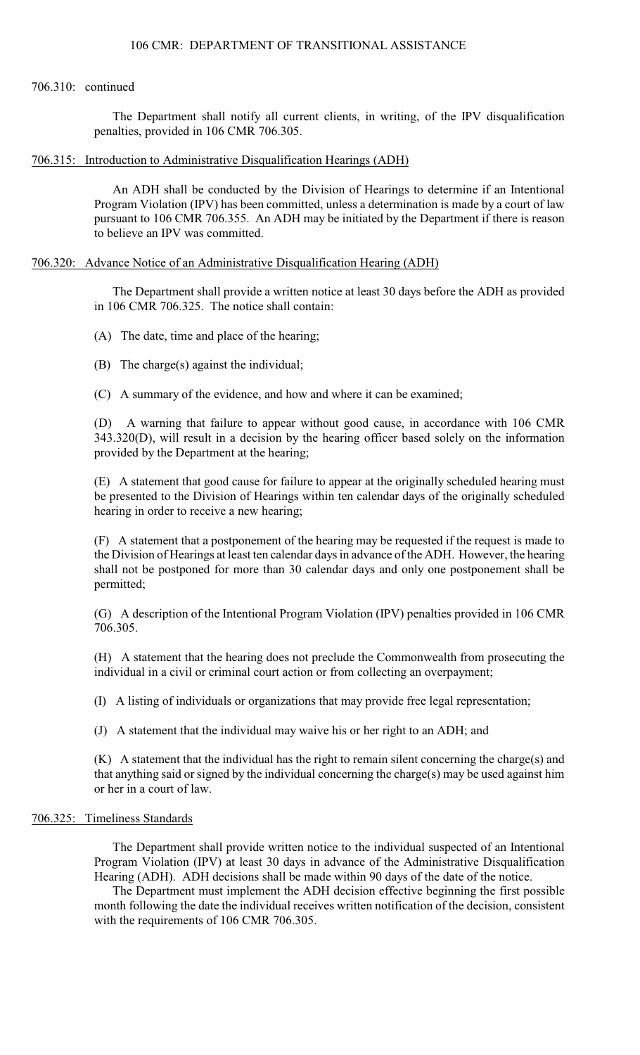### 706.310: continued

The Department shall notify all current clients, in writing, of the IPV disqualification penalties, provided in 106 CMR 706.305.

# 706.315: Introduction to Administrative Disqualification Hearings (ADH)

An ADH shall be conducted by the Division of Hearings to determine if an Intentional Program Violation (IPV) has been committed, unless a determination is made by a court of law pursuant to 106 CMR 706.355. An ADH may be initiated by the Department if there is reason to believe an IPV was committed.

# 706.320: Advance Notice of an Administrative Disqualification Hearing (ADH)

The Department shall provide a written notice at least 30 days before the ADH as provided in 106 CMR 706.325. The notice shall contain:

(A) The date, time and place of the hearing;

- (B) The charge(s) against the individual;
- (C) A summary of the evidence, and how and where it can be examined;

(D) A warning that failure to appear without good cause, in accordance with 106 CMR 343.320(D), will result in a decision by the hearing officer based solely on the information provided by the Department at the hearing;

(E) A statement that good cause for failure to appear at the originally scheduled hearing must be presented to the Division of Hearings within ten calendar days of the originally scheduled hearing in order to receive a new hearing;

(F) A statement that a postponement of the hearing may be requested if the request is made to the Division of Hearings at least ten calendar days in advance of the ADH. However, the hearing shall not be postponed for more than 30 calendar days and only one postponement shall be permitted;

(G) A description of the Intentional Program Violation (IPV) penalties provided in 106 CMR 706.305.

(H) A statement that the hearing does not preclude the Commonwealth from prosecuting the individual in a civil or criminal court action or from collecting an overpayment;

(I) A listing of individuals or organizations that may provide free legal representation;

(J) A statement that the individual may waive his or her right to an ADH; and

(K) A statement that the individual has the right to remain silent concerning the charge(s) and that anything said or signed by the individual concerning the charge(s) may be used against him or her in a court of law.

# 706.325: Timeliness Standards

The Department shall provide written notice to the individual suspected of an Intentional Program Violation (IPV) at least 30 days in advance of the Administrative Disqualification Hearing (ADH). ADH decisions shall be made within 90 days of the date of the notice.

The Department must implement the ADH decision effective beginning the first possible month following the date the individual receives written notification of the decision, consistent with the requirements of 106 CMR 706.305.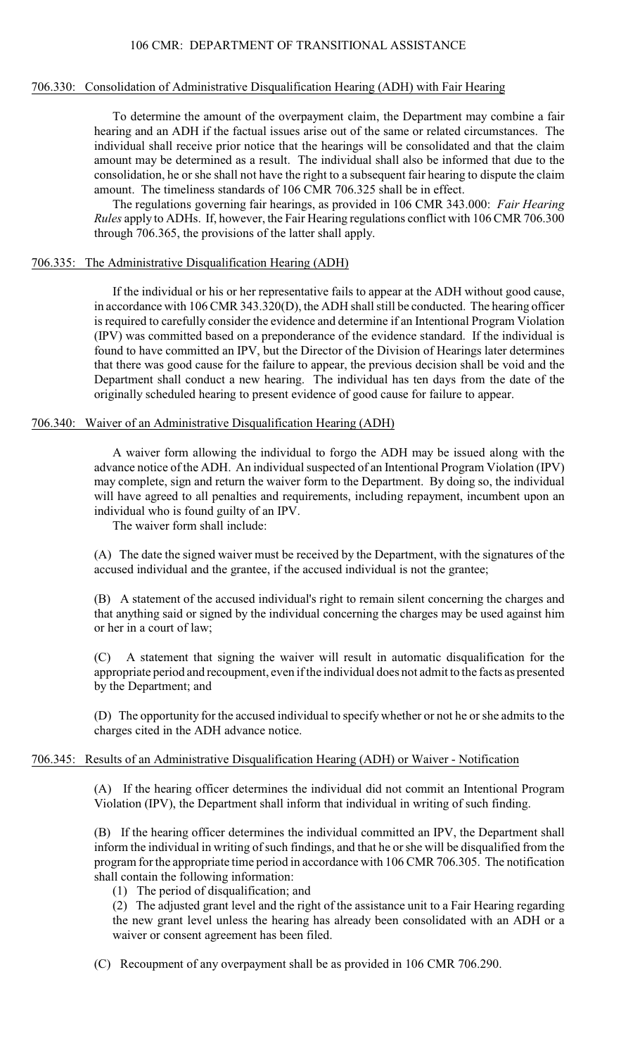# 706.330: Consolidation of Administrative Disqualification Hearing (ADH) with Fair Hearing

To determine the amount of the overpayment claim, the Department may combine a fair hearing and an ADH if the factual issues arise out of the same or related circumstances. The individual shall receive prior notice that the hearings will be consolidated and that the claim amount may be determined as a result. The individual shall also be informed that due to the consolidation, he or she shall not have the right to a subsequent fair hearing to dispute the claim amount. The timeliness standards of 106 CMR 706.325 shall be in effect.

The regulations governing fair hearings, as provided in 106 CMR 343.000: *Fair Hearing Rules* apply to ADHs. If, however, the Fair Hearing regulations conflict with 106 CMR 706.300 through 706.365, the provisions of the latter shall apply.

### 706.335: The Administrative Disqualification Hearing (ADH)

If the individual or his or her representative fails to appear at the ADH without good cause, in accordance with 106 CMR 343.320(D), the ADH shall still be conducted. The hearing officer is required to carefully consider the evidence and determine if an Intentional Program Violation (IPV) was committed based on a preponderance of the evidence standard. If the individual is found to have committed an IPV, but the Director of the Division of Hearings later determines that there was good cause for the failure to appear, the previous decision shall be void and the Department shall conduct a new hearing. The individual has ten days from the date of the originally scheduled hearing to present evidence of good cause for failure to appear.

# 706.340: Waiver of an Administrative Disqualification Hearing (ADH)

A waiver form allowing the individual to forgo the ADH may be issued along with the advance notice of the ADH. An individual suspected of an Intentional Program Violation (IPV) may complete, sign and return the waiver form to the Department. By doing so, the individual will have agreed to all penalties and requirements, including repayment, incumbent upon an individual who is found guilty of an IPV.

The waiver form shall include:

(A) The date the signed waiver must be received by the Department, with the signatures of the accused individual and the grantee, if the accused individual is not the grantee;

(B) A statement of the accused individual's right to remain silent concerning the charges and that anything said or signed by the individual concerning the charges may be used against him or her in a court of law;

(C) A statement that signing the waiver will result in automatic disqualification for the appropriate period and recoupment, even if the individual does not admit to the facts as presented by the Department; and

(D) The opportunity for the accused individual to specify whether or not he or she admits to the charges cited in the ADH advance notice.

# 706.345: Results of an Administrative Disqualification Hearing (ADH) or Waiver - Notification

(A) If the hearing officer determines the individual did not commit an Intentional Program Violation (IPV), the Department shall inform that individual in writing of such finding.

(B) If the hearing officer determines the individual committed an IPV, the Department shall inform the individual in writing of such findings, and that he or she will be disqualified from the program for the appropriate time period in accordance with 106 CMR 706.305. The notification shall contain the following information:

(1) The period of disqualification; and

(2) The adjusted grant level and the right of the assistance unit to a Fair Hearing regarding the new grant level unless the hearing has already been consolidated with an ADH or a waiver or consent agreement has been filed.

(C) Recoupment of any overpayment shall be as provided in 106 CMR 706.290.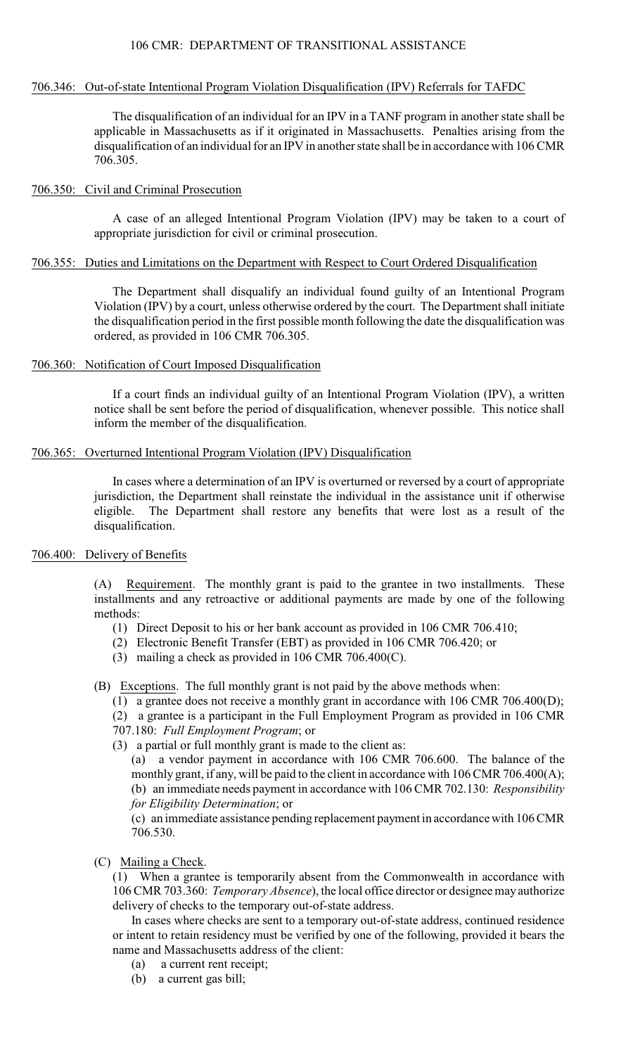### 706.346: Out-of-state Intentional Program Violation Disqualification (IPV) Referrals for TAFDC

The disqualification of an individual for an IPV in a TANF program in another state shall be applicable in Massachusetts as if it originated in Massachusetts. Penalties arising from the disqualification of an individual for an IPV in another state shall be in accordance with 106 CMR 706.305.

# 706.350: Civil and Criminal Prosecution

A case of an alleged Intentional Program Violation (IPV) may be taken to a court of appropriate jurisdiction for civil or criminal prosecution.

### 706.355: Duties and Limitations on the Department with Respect to Court Ordered Disqualification

The Department shall disqualify an individual found guilty of an Intentional Program Violation (IPV) by a court, unless otherwise ordered by the court. The Department shall initiate the disqualification period in the first possible month following the date the disqualification was ordered, as provided in 106 CMR 706.305.

# 706.360: Notification of Court Imposed Disqualification

If a court finds an individual guilty of an Intentional Program Violation (IPV), a written notice shall be sent before the period of disqualification, whenever possible. This notice shall inform the member of the disqualification.

# 706.365: Overturned Intentional Program Violation (IPV) Disqualification

In cases where a determination of an IPV is overturned or reversed by a court of appropriate jurisdiction, the Department shall reinstate the individual in the assistance unit if otherwise eligible. The Department shall restore any benefits that were lost as a result of the disqualification.

# 706.400: Delivery of Benefits

(A) Requirement. The monthly grant is paid to the grantee in two installments. These installments and any retroactive or additional payments are made by one of the following methods:

- (1) Direct Deposit to his or her bank account as provided in 106 CMR 706.410;
- (2) Electronic Benefit Transfer (EBT) as provided in 106 CMR 706.420; or
- (3) mailing a check as provided in 106 CMR 706.400(C).

(B) Exceptions. The full monthly grant is not paid by the above methods when:

(1) a grantee does not receive a monthly grant in accordance with 106 CMR 706.400(D);

(2) a grantee is a participant in the Full Employment Program as provided in 106 CMR

- 707.180: *Full Employment Program*; or
- (3) a partial or full monthly grant is made to the client as:

(a) a vendor payment in accordance with 106 CMR 706.600. The balance of the monthly grant, if any, will be paid to the client in accordance with 106 CMR 706.400(A); (b) an immediate needs payment in accordance with 106 CMR 702.130: *Responsibility for Eligibility Determination*; or

(c) an immediate assistance pending replacement payment in accordance with 106 CMR 706.530.

(C) Mailing a Check.

(1) When a grantee is temporarily absent from the Commonwealth in accordance with 106 CMR 703.360: *Temporary Absence*), the local office director or designee may authorize delivery of checks to the temporary out-of-state address.

In cases where checks are sent to a temporary out-of-state address, continued residence or intent to retain residency must be verified by one of the following, provided it bears the name and Massachusetts address of the client:

- (a) a current rent receipt;
- (b) a current gas bill;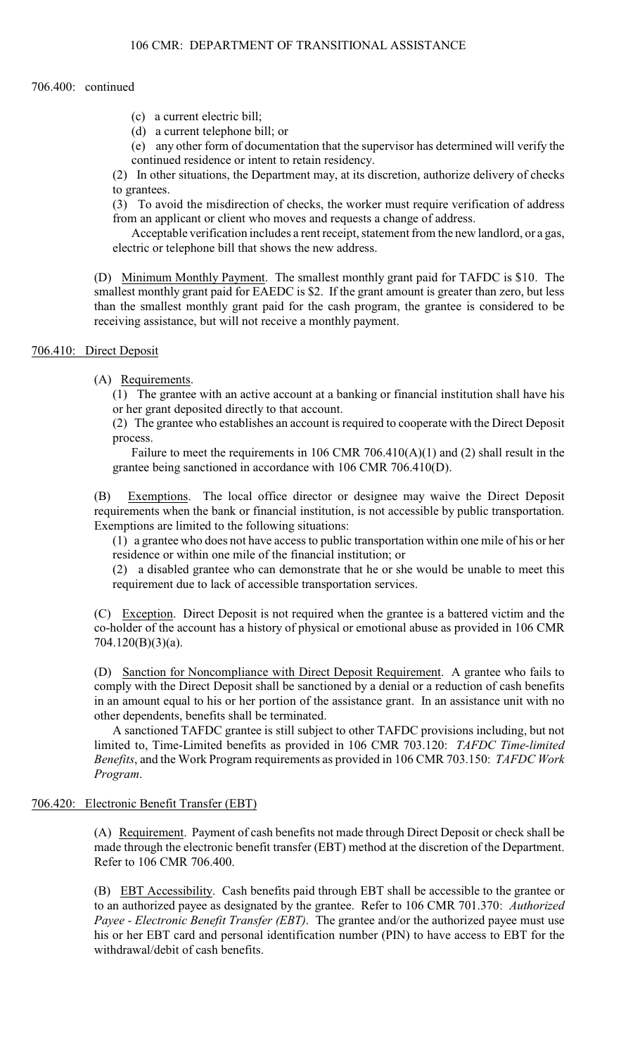# 706.400: continued

- (c) a current electric bill;
- (d) a current telephone bill; or
- (e) any other form of documentation that the supervisor has determined will verify the continued residence or intent to retain residency.

(2) In other situations, the Department may, at its discretion, authorize delivery of checks to grantees.

(3) To avoid the misdirection of checks, the worker must require verification of address from an applicant or client who moves and requests a change of address.

Acceptable verification includes a rent receipt, statement from the new landlord, or a gas, electric or telephone bill that shows the new address.

(D) Minimum Monthly Payment. The smallest monthly grant paid for TAFDC is \$10. The smallest monthly grant paid for EAEDC is \$2. If the grant amount is greater than zero, but less than the smallest monthly grant paid for the cash program, the grantee is considered to be receiving assistance, but will not receive a monthly payment.

# 706.410: Direct Deposit

(A) Requirements.

(1) The grantee with an active account at a banking or financial institution shall have his or her grant deposited directly to that account.

(2) The grantee who establishes an account is required to cooperate with the Direct Deposit process.

Failure to meet the requirements in 106 CMR 706.410(A)(1) and (2) shall result in the grantee being sanctioned in accordance with 106 CMR 706.410(D).

(B) Exemptions. The local office director or designee may waive the Direct Deposit requirements when the bank or financial institution, is not accessible by public transportation. Exemptions are limited to the following situations:

(1) a grantee who does not have access to public transportation within one mile of his or her residence or within one mile of the financial institution; or

(2) a disabled grantee who can demonstrate that he or she would be unable to meet this requirement due to lack of accessible transportation services.

(C) Exception. Direct Deposit is not required when the grantee is a battered victim and the co-holder of the account has a history of physical or emotional abuse as provided in 106 CMR 704.120(B)(3)(a).

(D) Sanction for Noncompliance with Direct Deposit Requirement. A grantee who fails to comply with the Direct Deposit shall be sanctioned by a denial or a reduction of cash benefits in an amount equal to his or her portion of the assistance grant. In an assistance unit with no other dependents, benefits shall be terminated.

A sanctioned TAFDC grantee is still subject to other TAFDC provisions including, but not limited to, Time-Limited benefits as provided in 106 CMR 703.120: *TAFDC Time-limited Benefits*, and the Work Program requirements as provided in 106 CMR 703.150: *TAFDC Work Program*.

# 706.420: Electronic Benefit Transfer (EBT)

(A) Requirement. Payment of cash benefits not made through Direct Deposit or check shall be made through the electronic benefit transfer (EBT) method at the discretion of the Department. Refer to 106 CMR 706.400.

(B) EBT Accessibility. Cash benefits paid through EBT shall be accessible to the grantee or to an authorized payee as designated by the grantee. Refer to 106 CMR 701.370: *Authorized Payee - Electronic Benefit Transfer (EBT)*. The grantee and/or the authorized payee must use his or her EBT card and personal identification number (PIN) to have access to EBT for the withdrawal/debit of cash benefits.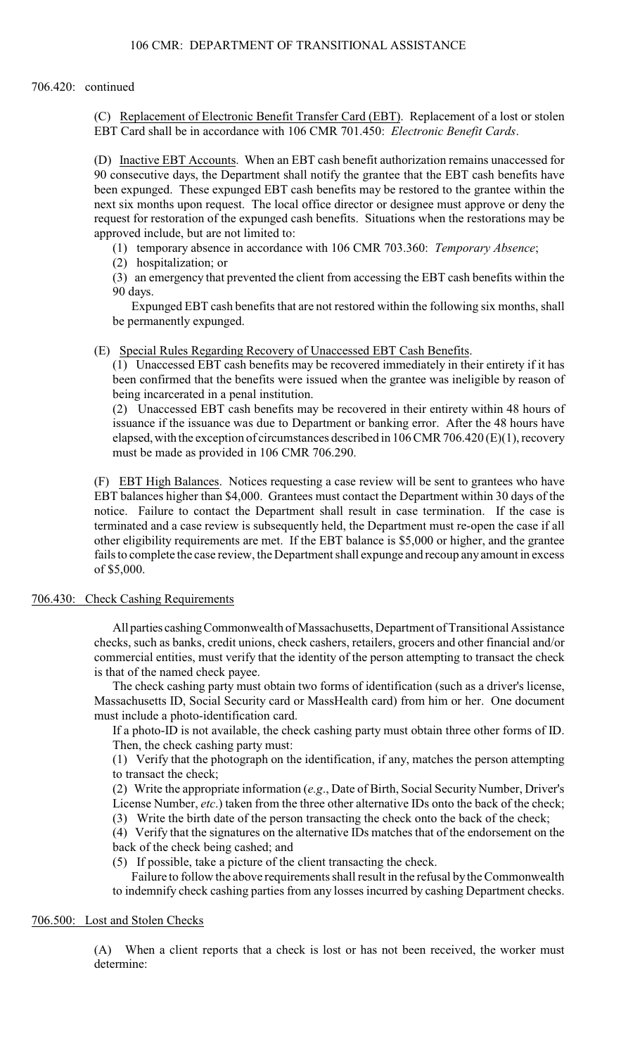(C) Replacement of Electronic Benefit Transfer Card (EBT). Replacement of a lost or stolen EBT Card shall be in accordance with 106 CMR 701.450: *Electronic Benefit Cards*.

(D) Inactive EBT Accounts. When an EBT cash benefit authorization remains unaccessed for 90 consecutive days, the Department shall notify the grantee that the EBT cash benefits have been expunged. These expunged EBT cash benefits may be restored to the grantee within the next six months upon request. The local office director or designee must approve or deny the request for restoration of the expunged cash benefits. Situations when the restorations may be approved include, but are not limited to:

(1) temporary absence in accordance with 106 CMR 703.360: *Temporary Absence*;

(2) hospitalization; or

(3) an emergency that prevented the client from accessing the EBT cash benefits within the 90 days.

Expunged EBT cash benefits that are not restored within the following six months, shall be permanently expunged.

(E) Special Rules Regarding Recovery of Unaccessed EBT Cash Benefits.

(1) Unaccessed EBT cash benefits may be recovered immediately in their entirety if it has been confirmed that the benefits were issued when the grantee was ineligible by reason of being incarcerated in a penal institution.

(2) Unaccessed EBT cash benefits may be recovered in their entirety within 48 hours of issuance if the issuance was due to Department or banking error. After the 48 hours have elapsed, with the exception of circumstances described in 106 CMR 706.420 (E)(1), recovery must be made as provided in 106 CMR 706.290.

(F) EBT High Balances. Notices requesting a case review will be sent to grantees who have EBT balances higher than \$4,000. Grantees must contact the Department within 30 days of the notice. Failure to contact the Department shall result in case termination. If the case is terminated and a case review is subsequently held, the Department must re-open the case if all other eligibility requirements are met. If the EBT balance is \$5,000 or higher, and the grantee fails to complete the case review, the Department shall expunge and recoup any amount in excess of \$5,000.

# 706.430: Check Cashing Requirements

All parties cashing Commonwealth of Massachusetts, Department of Transitional Assistance checks, such as banks, credit unions, check cashers, retailers, grocers and other financial and/or commercial entities, must verify that the identity of the person attempting to transact the check is that of the named check payee.

The check cashing party must obtain two forms of identification (such as a driver's license, Massachusetts ID, Social Security card or MassHealth card) from him or her. One document must include a photo-identification card.

If a photo-ID is not available, the check cashing party must obtain three other forms of ID. Then, the check cashing party must:

(1) Verify that the photograph on the identification, if any, matches the person attempting to transact the check;

(2) Write the appropriate information (*e.g*., Date of Birth, Social Security Number, Driver's License Number, *etc*.) taken from the three other alternative IDs onto the back of the check;

(3) Write the birth date of the person transacting the check onto the back of the check;

(4) Verify that the signatures on the alternative IDs matches that of the endorsement on the back of the check being cashed; and

(5) If possible, take a picture of the client transacting the check.

Failure to follow the above requirements shall result in the refusal by the Commonwealth to indemnify check cashing parties from any losses incurred by cashing Department checks.

# 706.500: Lost and Stolen Checks

(A) When a client reports that a check is lost or has not been received, the worker must determine: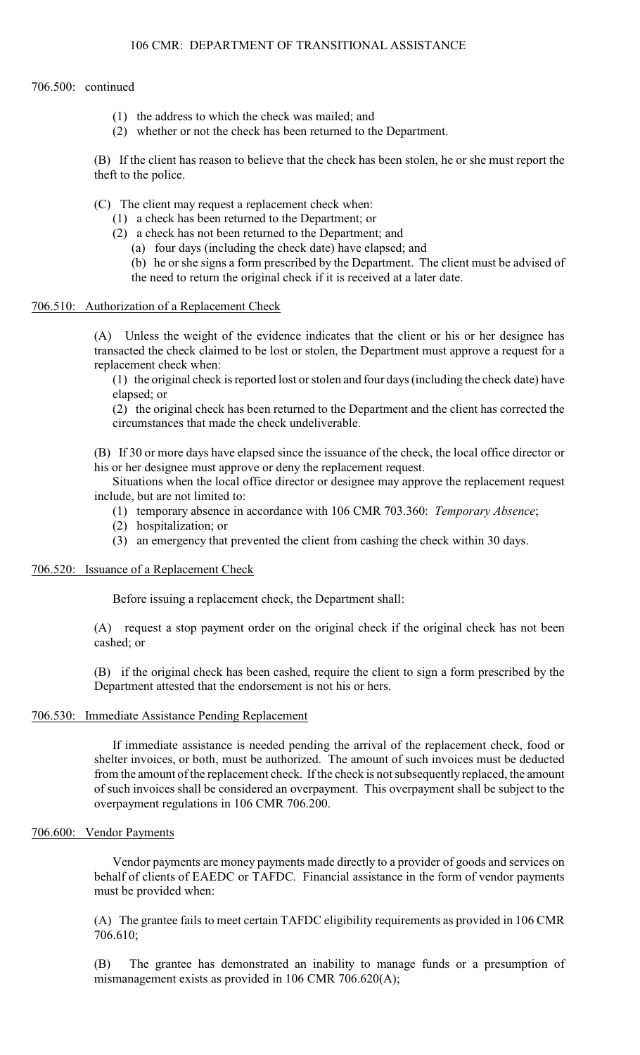# 706.500: continued

- (1) the address to which the check was mailed; and
- (2) whether or not the check has been returned to the Department.

(B) If the client has reason to believe that the check has been stolen, he or she must report the theft to the police.

- (C) The client may request a replacement check when:
	- (1) a check has been returned to the Department; or
	- (2) a check has not been returned to the Department; and
		- (a) four days (including the check date) have elapsed; and
		- (b) he or she signs a form prescribed by the Department. The client must be advised of the need to return the original check if it is received at a later date.

### 706.510: Authorization of a Replacement Check

(A) Unless the weight of the evidence indicates that the client or his or her designee has transacted the check claimed to be lost or stolen, the Department must approve a request for a replacement check when:

(1) the original check is reported lost or stolen and four days (including the check date) have elapsed; or

(2) the original check has been returned to the Department and the client has corrected the circumstances that made the check undeliverable.

(B) If 30 or more days have elapsed since the issuance of the check, the local office director or his or her designee must approve or deny the replacement request.

Situations when the local office director or designee may approve the replacement request include, but are not limited to:

- (1) temporary absence in accordance with 106 CMR 703.360: *Temporary Absence*;
- (2) hospitalization; or
- (3) an emergency that prevented the client from cashing the check within 30 days.

### 706.520: Issuance of a Replacement Check

Before issuing a replacement check, the Department shall:

(A) request a stop payment order on the original check if the original check has not been cashed; or

(B) if the original check has been cashed, require the client to sign a form prescribed by the Department attested that the endorsement is not his or hers.

# 706.530: Immediate Assistance Pending Replacement

If immediate assistance is needed pending the arrival of the replacement check, food or shelter invoices, or both, must be authorized. The amount of such invoices must be deducted from the amount of the replacement check. If the check is not subsequently replaced, the amount of such invoices shall be considered an overpayment. This overpayment shall be subject to the overpayment regulations in 106 CMR 706.200.

# 706.600: Vendor Payments

Vendor payments are money payments made directly to a provider of goods and services on behalf of clients of EAEDC or TAFDC. Financial assistance in the form of vendor payments must be provided when:

(A) The grantee fails to meet certain TAFDC eligibility requirements as provided in 106 CMR 706.610;

(B) The grantee has demonstrated an inability to manage funds or a presumption of mismanagement exists as provided in 106 CMR 706.620(A);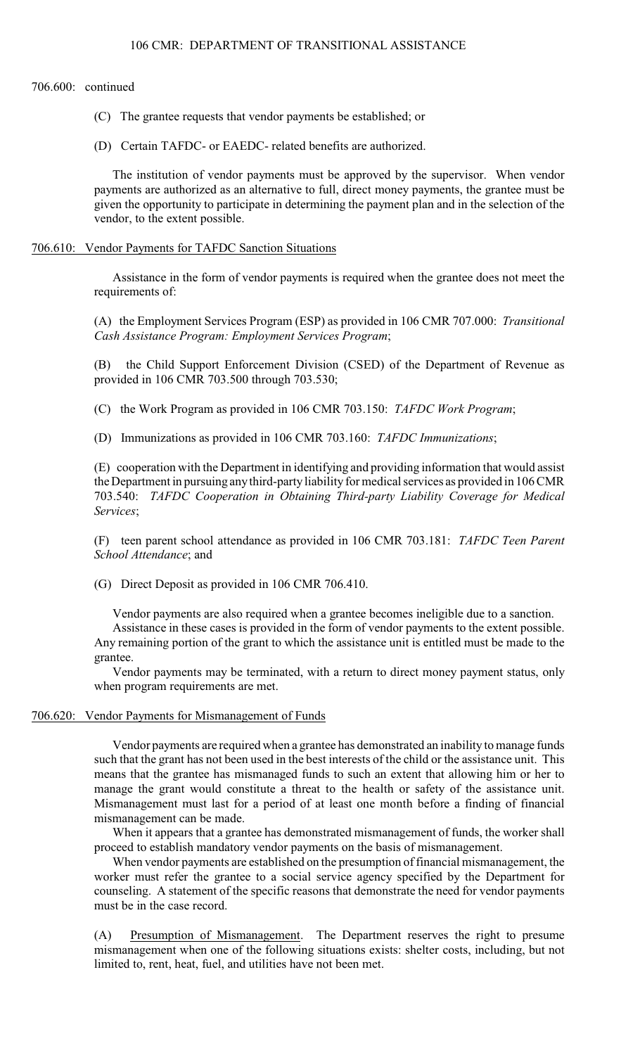706.600: continued

- (C) The grantee requests that vendor payments be established; or
- (D) Certain TAFDC- or EAEDC- related benefits are authorized.

The institution of vendor payments must be approved by the supervisor. When vendor payments are authorized as an alternative to full, direct money payments, the grantee must be given the opportunity to participate in determining the payment plan and in the selection of the vendor, to the extent possible.

# 706.610: Vendor Payments for TAFDC Sanction Situations

Assistance in the form of vendor payments is required when the grantee does not meet the requirements of:

(A) the Employment Services Program (ESP) as provided in 106 CMR 707.000: *Transitional Cash Assistance Program: Employment Services Program*;

(B) the Child Support Enforcement Division (CSED) of the Department of Revenue as provided in 106 CMR 703.500 through 703.530;

(C) the Work Program as provided in 106 CMR 703.150: *TAFDC Work Program*;

(D) Immunizations as provided in 106 CMR 703.160: *TAFDC Immunizations*;

(E) cooperation with the Department in identifying and providing information that would assist the Department in pursuing any third-party liability for medical services as provided in 106 CMR 703.540: *TAFDC Cooperation in Obtaining Third-party Liability Coverage for Medical Services*;

(F) teen parent school attendance as provided in 106 CMR 703.181: *TAFDC Teen Parent School Attendance*; and

(G) Direct Deposit as provided in 106 CMR 706.410.

Vendor payments are also required when a grantee becomes ineligible due to a sanction.

Assistance in these cases is provided in the form of vendor payments to the extent possible. Any remaining portion of the grant to which the assistance unit is entitled must be made to the grantee.

Vendor payments may be terminated, with a return to direct money payment status, only when program requirements are met.

### 706.620: Vendor Payments for Mismanagement of Funds

Vendor payments are required when a grantee has demonstrated an inability to manage funds such that the grant has not been used in the best interests of the child or the assistance unit. This means that the grantee has mismanaged funds to such an extent that allowing him or her to manage the grant would constitute a threat to the health or safety of the assistance unit. Mismanagement must last for a period of at least one month before a finding of financial mismanagement can be made.

When it appears that a grantee has demonstrated mismanagement of funds, the worker shall proceed to establish mandatory vendor payments on the basis of mismanagement.

When vendor payments are established on the presumption of financial mismanagement, the worker must refer the grantee to a social service agency specified by the Department for counseling. A statement of the specific reasons that demonstrate the need for vendor payments must be in the case record.

(A) Presumption of Mismanagement. The Department reserves the right to presume mismanagement when one of the following situations exists: shelter costs, including, but not limited to, rent, heat, fuel, and utilities have not been met.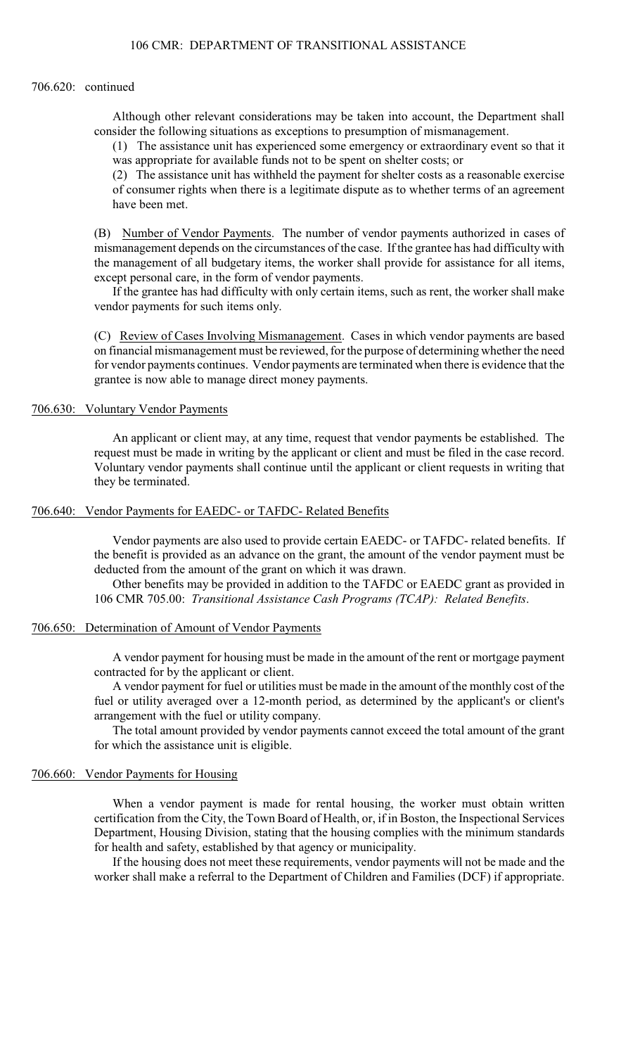#### 706.620: continued

Although other relevant considerations may be taken into account, the Department shall consider the following situations as exceptions to presumption of mismanagement.

(1) The assistance unit has experienced some emergency or extraordinary event so that it was appropriate for available funds not to be spent on shelter costs; or

(2) The assistance unit has withheld the payment for shelter costs as a reasonable exercise of consumer rights when there is a legitimate dispute as to whether terms of an agreement have been met.

(B) Number of Vendor Payments. The number of vendor payments authorized in cases of mismanagement depends on the circumstances of the case. If the grantee has had difficulty with the management of all budgetary items, the worker shall provide for assistance for all items, except personal care, in the form of vendor payments.

If the grantee has had difficulty with only certain items, such as rent, the worker shall make vendor payments for such items only.

(C) Review of Cases Involving Mismanagement. Cases in which vendor payments are based on financial mismanagement must be reviewed, for the purpose of determining whether the need for vendor payments continues. Vendor payments are terminated when there is evidence that the grantee is now able to manage direct money payments.

### 706.630: Voluntary Vendor Payments

An applicant or client may, at any time, request that vendor payments be established. The request must be made in writing by the applicant or client and must be filed in the case record. Voluntary vendor payments shall continue until the applicant or client requests in writing that they be terminated.

### 706.640: Vendor Payments for EAEDC- or TAFDC- Related Benefits

Vendor payments are also used to provide certain EAEDC- or TAFDC- related benefits. If the benefit is provided as an advance on the grant, the amount of the vendor payment must be deducted from the amount of the grant on which it was drawn.

Other benefits may be provided in addition to the TAFDC or EAEDC grant as provided in 106 CMR 705.00: *Transitional Assistance Cash Programs (TCAP): Related Benefits*.

#### 706.650: Determination of Amount of Vendor Payments

A vendor payment for housing must be made in the amount of the rent or mortgage payment contracted for by the applicant or client.

A vendor payment for fuel or utilities must be made in the amount of the monthly cost of the fuel or utility averaged over a 12-month period, as determined by the applicant's or client's arrangement with the fuel or utility company.

The total amount provided by vendor payments cannot exceed the total amount of the grant for which the assistance unit is eligible.

### 706.660: Vendor Payments for Housing

When a vendor payment is made for rental housing, the worker must obtain written certification from the City, the Town Board of Health, or, if in Boston, the Inspectional Services Department, Housing Division, stating that the housing complies with the minimum standards for health and safety, established by that agency or municipality.

If the housing does not meet these requirements, vendor payments will not be made and the worker shall make a referral to the Department of Children and Families (DCF) if appropriate.